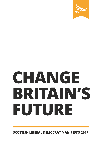

# **CHANGE BRITAIN'S FUTURE**

**SCOTTISH LIBERAL DEMOCRAT MANIFESTO 2017**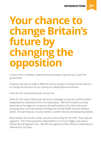**INTRODUCTION**



# **Your chance to change Britain's future by changing the opposition**

In every other manifesto, Liberal Democrat leaders have set out a vision for government.

However, we want to make a different case to people in Scotland at this election – to change the direction of our country on independence and Brexit.

Votes for the Liberal Democrats can do this.

Votes for the Liberal Democrats will send a message to stop yet another divisive independence referendum from the nationalists. With the Scottish economy teetering on the edge of a recession, the performance of Scottish education dropping down the international rankings and mental health services failing to deliver, the last thing our country needs is another divisive and distracting debate.

Brexit poses real threats to jobs, security and funding for the NHS. That's why we oppose it. The threat posed by independence is so much bigger and Liberal Democrats will oppose it too. We will vote against another divisive independence referendum. Full Stop.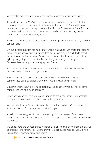We can also make a stand against the Conservatives damaging hard Brexit.

To be clear, Theresa May's Conservative Party is on course to win this election. Unless we make a stand, they will walk away with a landslide. We risk the coldhearted and mean-spirited approach with which the Conservative Prime Minister has governed for the last ten months being reinforced by a majority that no government has had for twenty years.

The reason? There is a complete absence of real opposition from Jeremy Corbyn's Labour Party.

On the biggest question facing all of us, Brexit, which has such huge implications for our young people and our future, Jeremy Corbyn ordered his MPs to stand down against the Conservatives' government. Where the Liberal Democrats are fighting every step of the way the Labour Party are simply following the Conservatives to support a damaging hard Brexit.

That's why the Liberal Democrats will not enter into coalition with either the Conservatives or Jeremy Corbyn's Labour.

Have no doubts, a massive Conservative majority would mean people and communities being taken for granted by a Conservative government.

Governments without a strong opposition are bad governments. They become complacent and take poor decisions.

So we are asking you to give us your support to make the Liberal Democrats the strong voice in opposition to the Conservative government.

We want the Liberal Democrats to be the party that holds the Conservatives to account over our future relationship with Europe.

You don't have to agree with us on everything. But the danger of an arrogant government that doesn't have to listen to us is apparent to everyone, wherever you live in Britain.

We don't share the Conservatives' miserable vision. And we don't share the divisive approach of the nationalists. Liberal Democrats are passionate about building a Britain that is open, tolerant and united.



 $\approx$  Scottish Liberal Democrat Manifesto 2017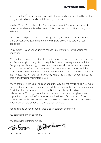So on June the  $8<sup>th</sup>$ , we are asking you to think very hard about what will be best for you, your friends and family, and the area you live in.

Another Tory MP, to bolster the Conservatives' majority? Another member of Labour's hopeless and failed opposition? Another nationalist MP who only wants to break up the UK?

Or a strong and passionate voice sticking up for your area, challenging Theresa May's Conservative government and holding it to account as part of a real opposition?

This election is your opportunity to change Britain's future – by changing the opposition.

We love this country. It is optimistic, good-humoured and confident. It is open, fair and finds strength through its diversity. It isn't inward looking or mean-spirited. Our young people are bright, creative and want a world that is clean and green and that the rest of us haven't wrecked. They want jobs, good health and the chance to choose who they love and how they live, with the security of a roof over their heads. They want to live in a country where the state isn't snooping into their emails and tracking their internet use.

You might feel uncertain or anxious about the way our country is going. You might worry that jobs and living standards are all threatened by the extreme and divisive Brexit that Theresa May has chosen for Britain, and the further risks of independence. You might be fed up with a Labour Party that has given up on opposition, supports the Conservatives on Brexit and offers no vision for our country. You might be frustrated with the SNP's obsession with another divisive independence referendum. If so, this is your chance.

You can stand up for a country that is open, tolerant and united.

You can change the opposition.

You can change Britain's future.<br>
Can Fann (D)Olie Renne

Tim Farron Willie Rennie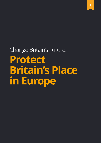# Change Britain's Future: **Protect Britain's Place in Europe**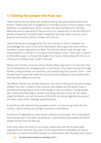# **1.1 Giving the people the final say**

Liberal Democrats are open and outward-looking. We passionately believe that Britain's relationship with its neighbours is stronger as part of the European Union. Whatever its imperfections, the EU remains the best framework for working effectively and co-operating in the pursuit of our shared aims. It has led directly to greater prosperity, increased trade, investment and jobs, better security, and a greener environment. Britain is better off in the EU.

Liberal Democrats campaigned for the UK to remain in the EU. However, we acknowledge the result of the 2016 referendum, which gave the Government a mandate to start negotiations to leave. The decision Britain took, though, was simply whether to remain in or to leave the European Union. There was no option on the ballot paper to choose the shape of our future relationship with the EU on vital issues including trade, travel or security.

While much remains uncertain about Theresa May's approach, it is now clear that the Conservatives are campaigning for a hard Brexit. This means leaving the Single Market, ending freedom of movement, and abandoning the Customs Union – even though these choices will make the UK poorer and disappoint many Leave voters who wanted a different outcome.

The effects of Brexit are already being felt. The value of the pound has plummeted. Inflation has risen. Growth in the economy has slowed, and the government is already borrowing billions more to fill the gap in lost tax revenue. Young people, who voted overwhelmingly to remain, are being told their voices do not matter. Urgent problems, such as the future of the NHS, are being neglected because of the sheer scale of the challenge posed by Brexit.

A hard Brexit will make all these problems worse. It is the wrong choice for the country. Liberal Democrats will fight to prevent a hard Brexit.

At the end of negotiations, there will be a decision on the deal. The Conservatives want the decision to be taken by politicians. Liberal Democrats believe the British people should have the final say.

That's why, when the terms of our future relationship with the EU have been negotiated (over the next two years on the Government's timetable), we will put that deal to a vote of the British people in a referendum, with the alternative option

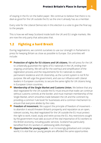of staying in the EU on the ballot paper. We continue to believe that there is no deal as good for the UK outside the EU as the one it already has as a member.

Every vote for the Liberal Democrats in this election is a vote to give the final say to the people.

This is how we will keep Scotland inside both the UK and EU single markets. We are now the only party that advocates that.

#### **1.2 Fighting a hard Brexit**

During negotiations, we commit ourselves to use our strength in Parliament to press for keeping Britain as close as possible to Europe. Our priorities will include:

- **Protection of rights for EU citizens and UK citizens.** We will press for the UK to unilaterally guarantee the rights of EU nationals in the UK, ending their ongoing uncertainty. We will call for the overhaul and simplification of the registration process and the requirements for EU nationals to obtain permanent residence and UK citizenship, as the current system is not fit for purpose. We will urge the government, and use our influence with Liberal leaders in European countries, to secure the same rights for UK citizens living in European Union countries.
- **Membership of the Single Market and Customs Union.** We believe that any deal negotiated for the UK outside the EU must ensure that trade can continue without customs controls at the border; and must maintain membership of the Single Market, which smoothes trade between the UK and the continent by providing a common 'rule book' for businesses and a common mechanism to ensure that everyone abides by the rules.
- **Freedom of movement.** We support the principle of freedom of movement to abandon it would threaten Britain's prosperity and reputation as an open, tolerant society. Any deal negotiated for the UK outside the EU must protect the right to work, travel, study and retire across the EU. Any restrictions sought by the government must take account of the vital importance of EU workers to the British economy, including public services. Scotland has particularly benefited from EU workers in addressing skills shortages.
- **Opportunities for young people.** In an increasingly globalised and complex world, it is vital that our young people are afforded the same opportunities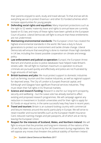their parents enjoyed to work, study and travel abroad. To that end we will do everything we can to protect Erasmus+ and other EU-funded schemes which increase opportunities for young people.

- **Defending social rights and equalities:** Many important protections such as the right to 52 weeks' maternity leave and rights to annual leave are currently based on EU law, and many of these rights have been upheld at the European Court of Justice. Liberal Democrats will fight to ensure that these entitlements are not undermined.
- **Maintaining environmental standards:** The European Union has created the highest environmental standards in the world. We have a duty to future generations to protect our environment and tackle climate change. Liberal Democrats will ensure that everything is done to maintain those high standards in UK law, including the closest possible cooperation on climate and energy policy.
- **Law enforcement and judicial co-operation:** Europol, the European Arrest Warrant and shared access to police databases have helped make Britain's streets safer. We will fight to maintain maximum co-operation to ensure criminals are pursued quickly and effectively and police are not frustrated by huge amounts of red tape.
- **British business and jobs:** We must protect support to domestic industries such as farming, tourism and the creative industries, as well as regional support for deprived areas. The City of London is Europe's financial capital, and Edinburgh and Glasgow have significant financial services industries. They must retain their full rights in EU financial markets.
- **Science and research funding:** Research is vital for our long-term prosperity, security and wellbeing – but the Leave vote has already started to affect existing and proposed research programmes. We will campaign against any reduction in investment in Scottish universities and for their right to apply for EU funds on equal terms, in the same successful way they have in recent years.
- **Travel and tourism:** Britain is an outward-looking country with commercial and leisure interests around the world, particularly in Europe. We will strive to retain traveller and tourist benefits such as the European Health Insurance Card, reduced roaming charges and pet passports, all of which are at risk by leaving the European Union.
- **Respect for the interests of Scotland, Wales, and Northern Ireland:** We will fight to ensure that the priorities and long-term interests of the nations of the UK are fully taken into account by the UK Government during negotiations. We will oppose any moves that threaten the political stability of Northern Ireland.

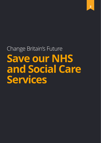# Change Britain's Future **Save our NHS and Social Care Services**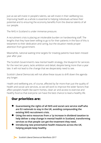Just as we will invest in people's talents, we will invest in their wellbeing too. Improving health as a whole is essential to helping individuals achieve their potential and to ensuring the economy benefits from the diverse talents of all our people.

The NHS in Scotland is under immense pressure.

A recruitment crisis is placing an intolerable burden on hardworking staff. The lengths that they have been willing to go to for their patients in the face of this is testament to their dedication and caring, but the situation needs proper attention from government.

Meanwhile, national waiting time targets for treating patients have been missed year after year.

The Scottish Government's new mental health strategy, the blueprint for services for the next ten years, lacks ambition and detail, despite being more than a year late. It will not lead to the change that we desperately need to see.

Scottish Liberal Democrats will not allow these issues to drift down the agenda any longer.

Health and wellbeing are, of course, affected by far more than just the quality of health and social care services, so we will work to improve the wider factors that affect people's health like warm homes, clean air and access to exercise and healthy food so that everyone can have the best chance to lead a healthy life.

# **Our priorities are:**

- **Guaranteeing the rights of all NHS and social care service staff who are EU nationals to stay in the UK, avoiding compounding the existing NHS recruitment crisis.**
- **Using the extra resources from a 1p increase in dividend taxation to help deliver a step change in mental health in Scotland, transforming services so that people can get the treatment they need .**
- **Introducing new preventative health measures across the UK, helping people keep healthy.**

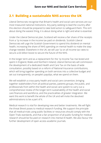#### **2.1 Building a sustainable NHS across the UK**

Liberal Democrats recognise that Britain's health and social care services are our most treasured national institutions. Any party seeking to lead the country after this election should be prepared to take bold action to safeguard them. This isn't about doing the easiest thing, it is about doing what is right and what is essential.

Under the Liberal Democrat plan, Scotland will receive a fair share of the receipts from a 1p increase in the income tax paid on dividends. Scottish Liberal Democrats will urge the Scottish Government to spend this dividend on mental health, increasing the share of NHS spending on mental health to make the stepchange needed. Elsewhere in the UK, we will use 1p on all income tax rates to secure a £6 billion boost to secure the future of the NHS.

In the longer term and as a replacement for the 1p Income Tax rise levied and spent in England, Wales and Northern Ireland, Liberal Democrats will commission the development of a dedicated Health and Care Tax on the basis of wide consultation, possibly based on a reform of National Insurance contributions, which will bring together spending on both services into a collective budget and set out transparently, on people's payslips, what we spend on them.

We will establish a cross-party health and social care convention, bringing together stakeholders from all political parties, patients groups, the public, and professionals from within the health and social care system to carry out a comprehensive review of the longer-term sustainability of the health and social care finances and workforce, and the practicalities of greater integration. We want this work to benefit the whole of the UK and will invite the devolved administrations to be a part of it.

Medical research is vital for developing new and better treatments. We will fight the threat Brexit poses to medical research funding. We support the principle that all medical trials using public facilities or resources should comply with the Open Trials standards, and that a fair proportion of all public funding for medical research should be focused on research into mental ill-health. We also favour the further development of open access academic journals.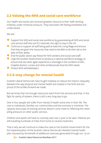# **2.2 Valuing the NHS and social care workforce**

Our health and social care services' greatest resource is their staff, working tirelessly under immense pressure. They have been left feeling embattled and undervalued.

We will:

- Support the NHS and social care workforce by guaranteeing all NHS and social care service staff who are EU nationals, the right to stay in the UK.
- Continue to support all staff being paid at least the Living Wage and ensure that they are given the resources they need to be able to do their job to the best of their ability.
- End the public sector pay freeze for NHS workers and social care staff.
- Urge the Scottish Government to produce a national workforce strategy, to ensure that we never again experience a shortage in the numbers of GPs, hospital doctors, nurses and other professionals that the NHS needs.
- **Protect NHS whistleblowers**

### **2.3 A step change for mental health**

Scottish Liberal Democrats have fought tirelessly to reduce the historic inequality between the way physical and mental health are treated in the NHS and are proud of the strides forward we made.

But we know that not enough resources reach front line services and that, in the fight for parity of esteem, there is still a very long way to go.

One in four people will suffer from mental ill health some time in their life. The cost to individuals, families, our communities and the economy is immense. The capacity and scope of existing services doesn't come close to reflecting this need, piling pressure on other public services.

Children and adults still have to routinely wait over a year to be seen. Patients are still travelling hundreds of miles from home to receive treatment.

That is why we will continue to make the case to the Scottish Government for the full implementation of the Scottish Liberal Democrats' detailed mental health plan, boosted by the benefit of additional revenues generated through our 1p on



94 Scottish Liberal Democrat Manifesto 2017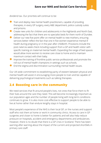dividend tax. Our priorities will continue to be:

- Train and deploy new mental health practitioners, capable of providing therapies, in every GP surgery, every A&E department, police custody suites and prisons.
- Create new units for children and adolescents in the Highlands and North East, addressing the fact that there are no specialist beds for them north of Dundee.
- Deliver our new five-point offer on mental health to new mothers, ensuring services better reflect the fact that one in five women experience mental ill health during pregnancy or in the year after childbirth. Provisions include the post-natal six-week check including support from a GP and health visitor with specific training on maternal mental health. Expanding the range of bed spaces would allow more women to receive care close to home and to maintain maximum contact with their baby.
- Improve the training of frontline public service professionals and promote the roll-out of mental health champions in settings such as schools.
- End the stigma and discrimination surrounding mental health issues.

Our UK-wide commitment to establishing parity of esteem between physical and mental health will assist in encouraging more people to train and be capable of delivering psychological treatments such as talking therapies.

#### **2.4 Boosting care in the community**

We need services that fit around people's lives, not ones that force them to fit their lives around the care they need. This will become increasingly important as our population ages and the number of people living with long-term conditions continues to grow. It is also more cost-effective to support people to be able to live at home rather than endure lengthy stays in hospital.

Most people's experience of the NHS is their local GP, or the nurses and support staff who visit them at home or work in community clinics. Access to care in GP surgeries and closer to home is better for patients and will also help reduce pressure on hospitals, accident and emergency departments and ambulances. However, there is no doubt that there is a GP crisis in Scotland. There has been warning after warning about the impact of the current and projected shortfalls in primary care staff.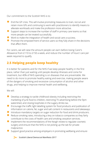Our commitment to the Scottish NHS is to:

- End the GP crisis. This will involve promoting measures to train, recruit and retain more GPs and continuing to work with practitioners to identify means to alleviate workloads and make the profession more attractive.
- $\bullet$  Support steps to increase the number of staff in primary care teams so that more people can be treated successfully.
- Work to make the integration of health and social care a success.
- Promote the empowerment of service users so they fully share in the decisions that affect them.

For carers, we will raise the amount people can earn before losing Carer's Allowance from £110 to £150 a week, and reduce the number of hours' care per week required to qualify.

# **2.5 Helping people keep healthy**

It is better for patients and for the NHS if we keep people healthy in the first place, rather than just waiting until people develop illnesses and come for treatment, but 40% of NHS spending is on diseases that are preventable. We need to do more to promote healthy eating and exercise, making people aware of the dangers of smoking and excessive consumption of alcohol and other drugs, and helping to improve mental health and wellbeing.

We will:

- Develop a strategy to tackle childhood obesity including restricting the marketing of junk food to children, restricting TV advertising before the 9pm watershed, and closing loopholes in the sugary drinks tax.
- Encourage the traffic light labelling system for food products and publication of information on calorie, fat, sugar and salt content in restaurants and takeaways.
- Introduce mandatory targets on sugar reduction for food and drink producers.
- $\bullet$  Reduce smoking rates, introducing a levy on tobacco companies so they fairly contribute to the costs of health care and smoking cessation services.
- Implement the recommendations of the Keogh review to regulate cosmetic surgery and ensure that the NHS is not picking up the tab for private malpractice.
- Support good practice among employers in promoting wellbeing and ensure



94 Scottish Liberal Democrat Manifesto 2017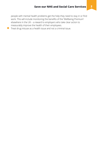people with mental health problems get the help they need to stay in or find work. This will include monitoring the benefits of the 'Wellbeing Premium' elsewhere in the UK – a reward to employers who take clear action to measurably improve the health of their employees.

● Treat drug misuse as a health issue and not a criminal issue.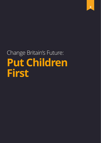# Change Britain's Future: **Put Children First**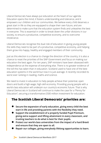Liberal Democrats have always put education at the heart of our agenda. Education opens the mind, it fosters understanding and tolerance, and it empowers our children and our communities. We believe every child deserves a great start in life so they are equipped to shape their own future, and are determined to make sure that the education system finds and unleashes the best in everyone. This is essential in order to break down the unfair divisions in our society, to ensure a productive, competitive economy, and to overcome intolerance.

Liberal Democrats recognise the dual role of education in giving young people the skills they need to be part of a productive, competitive economy, and helping them grow into happy, healthy and engaged members of their community.

Just as this election is a chance to change the direction of the country, it is also a chance to reset the priorities of the SNP Government and focus on making our education the best again. For ten years, SNP ministers have been obsessed with independence at the expense of everything else. There is no greater evidence of the toll this has taken than in education. Scotland used to have one of the best education systems in the world but now it is just average. It recently recorded its worst ever ranking in reading, maths and science.

We need to invest in education to help people achieve their potential, open doors and build a high-wage, high-skill economy. Providing young people with a world-class education will underpin our country's economic future. That is why Liberal Democrats in Scotland will continue to make the case for a "Penny for Education", securing a transformative £500 million investment for education.

# **The Scottish Liberal Democrats' priorities are:**

- **Secure the expansion of early education, giving every child the best start in life and providing parents with the flexibility they need.**
- **Support the establishment of a properly funded Pupil Premium, giving extra support and lifting attainment in every classroom, and trusting teachers to do what is best for their pupils.**
- **Protect our world-class universities from the impact of a hard Brexit and ensure that they are open to all.**
- **Repair our colleges, giving everybody lifelong opportunities to learn.**

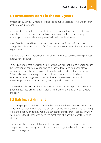#### **3.1 Investment starts in the early years**

Investing in quality early years' provision yields huge dividends for young children as they move into school.

Investment in the first years of a child's life is proven to have the biggest impact upon their future development, with our most vulnerable children having the most to gain from excellent early years' education and childcare.

It was Scottish Liberal Democrats who persuaded the Scottish Government to change their plans and start to offer free childcare to two-year-olds. It is now time to go further.

We share the aim of Liberal Democrats across the UK to build upon the progress that we have secured.

To build a system that works for all in Scotland, we will continue to work to secure the extension of early education and childcare to three and four-year-olds, all two-year-olds and the most vulnerable families with children of an earlier age. This will also involve making sure the problems that some families have experienced accessing their current entitlement are resolved, supporting measures promoting local provision, flexibility and accessibility.

We also share the aim of Liberal Democrats across the UK to provide additional graduate-qualified professionals, helping raise further the quality of early years' provision.

#### **3.2 Raising attainment**

Too many people have their chances in life determined by who their parents are, rather than by their own efforts and abilities. Far too many children are still failing to get the opportunities they need. We cannot fail our children – especially when we know it is the children who need the most help who are the most likely to be let down.

Education is the investment that enables everyone to reach their potential, irrespective of their background. Scotland needs to get the benefit of the diverse talents of everyone.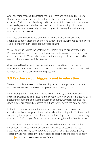After spending months disparaging the Pupil Premium introduced by Liberal Democrats elsewhere in the UK, preferring their highly selective area-based approach, SNP ministers finally agreed to implement it in Scotland. However, we are already years behind other parts of the UK. Underfunding risks our not making the same substantial gains and progress in closing the attainment gap that we have seen elsewhere.

Examples of the effective use of the Pupil Premium elsewhere are extra additional support teachers, one-to-one tuition, extra equipment and homework clubs. All children in the class get the wider benefit.

We will continue to urge the Scottish Government to fund properly the Pupil Premium so that the full benefits of this policy can be realised in every classroom and for every child. We will also make sure the money reaches schools and is used for the purpose that it is intended.

Good mental health also increases attainment. Liberal Democrat plans to transform mental health services across the UK will help ensure that every child is ready to learn and achieve their full potential.

### **3.3 Teachers – our biggest asset in education**

We want to build the status of the teaching profession, support and nurture teachers in their work, and so drive up standards in every school.

For too long, Scottish teachers have been suffocated by bureaucracy and increasing workloads. They have had to contend with new exams, increasing class sizes, staff reductions and cuts to education budgets. Centralisation and topdown diktats are regularly resorted to but are rarely, if ever, the right solution.

Instead, it is time we liberated our teachers and trusted them to use their expertise, skills and judgement to do what is best for their pupils. That starts with supporting the empowerment of teachers and tackling the levels of bureaucracy that led to 20,000 pages of curriculum guidance being issued to Scottish schools.

Scottish Liberal Democrats will also continue to lead the opposition to the introduction of Thatcherite national testing, opposed by teachers across Scotland. It has already contributed to the creation of league tables, pitting classroom against classroom. They will lead to teaching to the test, needlessly



**Scottish Liberal Democrat Manifesto 2017**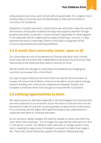piling pressure and stress upon school staff and pupils alike. It is a regime that is costing millions of pounds and is fundamentally at odds with the ethos of Curriculum for Excellence.

Elsewhere in Scottish education, Liberal Democrats will further make the case for the functions of Education Scotland, the body that supports teachers through guidance and policy, to be split. It cannot be both responsible for what happens in the classroom and for inspecting the quality of teaching in schools. It is also essential that there is meaningful reform of the SQA in recognition of the concerns expressed by the teaching profession.

#### **3.4 A world class university sector, open to all**

Our universities are one of the elements of Scottish education which remain world class. We will protect their independence and autonomy and ensure they have access to the resources they need to continue to thrive.

We will reverse the damage to universities and academics by changing the country's course away from a Hard Brexit.

Our plan to keep Scotland at the heart of the UK, and the UK at the heart of Europe, will ensure that Scotland continues to be able to access above average research funding, and continue the collaborations between Scottish and European universities which have brought so many benefits to Scotland.

#### **3.5 Lifelong opportunities to learn**

We need to grow our skill base, especially in the technologies and industries that are most important to our economic future. We want it to become the norm for businesses to take on and train up young people as apprentices in every sector of our economy, and for higher level apprenticeships to be understood as a respected alternative to university education.

As our economy rapidly changes, the need for people to retrain and reskill has never been more important. It is no longer the case that the skills learnt at 18 or 21 will last for a career. The ability to learn new skills or change careers is also vital in creating the opportunity for people to succeed no matter their stage in life. That's why Liberal Democrats support the need for lifelong learning.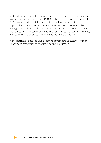Scottish Liberal Democrats have consistently argued that there is an urgent need to repair our colleges. More than 150,000 college places have been lost on the SNP's watch. Hundreds of thousands of people have missed out on opportunities to learn, with women and those with caring responsibilities amongst the hardest hit. It has prevented people from retraining and equipping themselves for a new career at a time when businesses are reporting in survey after survey that they are struggling to find the skills that they need.

We will facilitate across the UK an effective comprehensive system for credit transfer and recognition of prior learning and qualification.

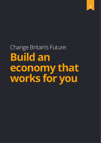Change Britain's Future: **Build an economy that works for you**

**4**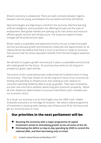Britain's economy is unbalanced. There are stark contrasts between regions, between old and young, and between the successful and those left behind.

New technologies are beginning to transform the economy. Machine learning, artificial intelligence, and automation are affecting the type and the scale of employment. New global markets are opening up for low-carbon and resourceefficient goods, services and infrastructure. The scope and speed of these changes will be profound and rapid.

Britain needs a sustainable and balanced economy not just to help fund public services but because growth and enterprise create jobs and opportunities for all. Liberal Democrats believe that there is much to be done to create an economy that ensures that the whole population benefits from the technological advances ahead.

We will work to support growth now and put in place a sustainable economy that will create growth for the future. An economy that works for the long term: prosperous, green, open and fair.

The actions of the Conservatives have undermined the Coalition's work in fixing the economy. They have chosen to risk the long-term future of our economy by limiting vital spending on infrastructure and creating an over-reliance on consumer spending fuelled by debt to prop up growth. They have consistently put their own short-term ambition above long-term economic prosperity. Above all, their disastrous determination to pursue a Hard Brexit casts a shadow over our economic future.

As a result, our economy is at its most fragile since the 2008 crash. Indeed Scotland's economy is on the edge of recession. We need a radical programme of investment to boost growth, develop new infrastructure fit for the future and get our economy back on track.

#### **Our priorities in the next parliament will be:**

- **Boosting the economy with a major programme of capital investment aimed at stimulating growth across all areas of the UK.**
- **Eliminating the deficit on day-to-day spending by 2020 to control the national debt, and then borrowing only to invest.**

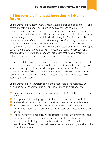#### **4.1 Responsible finances: Investing in Britain's future**

Liberal Democrats reject the Conservative Government's damaging and irrational commitment to run budget surpluses on both capital and revenue, which imposes completely unnecessary deep cuts in spending and limits the scope for much-needed capital investment. But we have no intention of just throwing away our hard-fought efforts to control the deficit during the Coalition years. Liberal Democrats will therefore commit to eliminating the deficit in day-to-day spending by 2020. This means we will be able to keep debt as a share of national wealth falling through the parliament, unless there is a recession. Once we have brought current expenditure into balance we will ensure that overall public spending grows roughly in line with the economy. This means that we can improve key public services and provide them with the investment they need.

A long-term stable economy requires more than just discipline over spending. It requires us to invest in people, innovation and infrastructure in order to give our economy the opportunity to remain competitive for the future. The Conservatives have failed to take advantage of historically low interest rates to borrow for the investment that would create jobs now and prepare us and our economy for the future.

Liberal Democrats will therefore commit to a responsible and realistic £100 billion package of additional infrastructure investment. This will prioritise:

- New direct spending on house-building to help build 300,000 homes a year by 2022.
- A programme of installing hyper-fast, fibre optic broadband across the UK.
- Additional funding to bring more private investment into renewable energy.
- $\bullet$  £5 billion of initial capital for a new British Housing and Infrastructure Development Bank, using public money to attract private investment for these priorities.
- Capital investment in schools and hospitals to support capacity increases and modernisation, together with significant investment in road and rail infrastructure, including a continued commitment to HS2, Crossrail 2 and rail electrification. These proposals will mean extra capital spending available to the Scottish Parliament.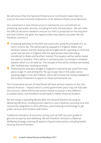We will ensure that the National Infrastructure Commission takes fully into account the environmental implications of all national infrastructure decisions.

Our investment in new infrastructure is matched by our commitment to protecting vital public services, including the NHS and education. We will make the difficult decisions needed to ensure our NHS is protected for the long term and that children are given the opportunities they need to succeed. We will therefore commit to:

- Increasing spending on the NHS and social care, using the proceeds of a 1p rise in Income Tax. This will be paid by taxpayers in England, Wales, and Northern Ireland, and the revenue will be ringfenced for spending on NHS and social care services in England, with the appropriate share also being transferred to Wales and Northern Ireland. This taxation will be neither levied nor spent in Scotland. There will be a commensurate 1p increase in dividend taxation which is a UK-wide tax. The receipts of this will be similarly earmarked, with Scotland also receiving its share.
- Protecting the education budget in England in real terms per pupil from early years to age 19, and ending the 1% cap on pay rises in the public sector, uprating wages in line with inflation, which will increase the money available to the Scottish Parliament to spend on these commitments too.

The Conservative pursuit of hard Brexit will have serious impacts on the UK's national finances – impacts which current government plans may not fully take into account. Liberal Democrats would choose to pursue a very different European policy, and therefore would expect a better financial situation.

We will initiate a Spending Review after the General Election focusing on delivering efficiency, funding proven spend-to-save initiatives, pursuing local and community integration to drive efficiency, and investing in technology to get public services and frontline staff online.

Traditional indicators of economic activity such as GDP are poor guides to genuine prosperity and wellbeing. We will therefore introduce a National Wellbeing Strategy covering all aspects of government policy, including health, housing and environment.

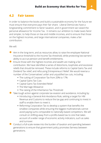#### **4.2 Fair taxes**

In order to balance the books and build a sustainable economy for the future we must ensure that everyone pays their fair share. Liberal Democrats have a longstanding commitment to fairer taxation, and in government we raised the personal allowance for Income Tax. It remains our ambition to make taxes fairer and simpler, to help those on low and middle incomes, and to ensure that those on the highest incomes, and large international companies, make a fair contribution.

We will:

- Aim in the long-term, and as resources allow, to raise the employee National Insurance threshold to the Income Tax threshold, while protecting low earners' ability to accrue pension and benefit entitlements.
- $\bullet$  Ensure those with the highest incomes and wealth are making a fair contribution. We have identified a series of distortions, loopholes and excessive reliefs that should be removed. These include reforms to Capital Gains Tax and Dividend Tax relief, and refocusing Entrepreneurs' Relief. We would reverse a number of the Conservatives' unfair and unjustified tax cuts, including:
	- The cutting of Corporation Tax from 20% to 17%
	- Capital Gains Tax Cuts
	- Capital Gains Tax Extended Relief
	- The Marriage Allowance
	- The raising of the Inheritance Tax Threshold

● Take tough action against corporate tax evasion and avoidance, including by:

- Introducing a General Anti-Avoidance Rule, setting a target for HM Revenue and Customs to reduce the tax gap and continuing to invest in staff to enable them to meet it.
- Reforming Corporation Tax to develop a system that benefits the smallest companies while ensuring the biggest multinationals cannot avoid paying sums comparable to nationally-based competitors. We will consult on shifting away from a profits-based tax to one that takes account of a wider range of economic activity indicators, such as sales and turnover.
- $\bullet$  Conduct a full-scale review into the burden of taxation and spending between generations to ensure that government policy promotes fairness between generations.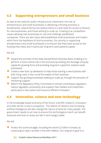# **4.3 Supporting entrepreneurs and small business**

As well as the need for public infrastructure investment, the role of entrepreneurs and small businesses in delivering a thriving economy is fundamental. Liberal Democrats believe there is a vital need for access to finance for new businesses, and those wishing to scale up. Creating true competition means allowing new businesses to rise and challenge established companies. There are also many well-established small businesses and traders which form the backbone of local economies. Our priority in supporting entrepreneurs and small businesses is to ensure that they have access to the funding they need, and in particular long-term (and patient) capital.

We will:

- Expand the activities of the state-owned British Business Bank, enabling it to perform a more central role in the economy by tackling the shortage of equity capital for growing firms and providing long-term capital for medium-sized businesses.
- Create a new 'start up allowance' to help those starting a new business with their living costs in the crucial first weeks of their business.
- Support fast growing businesses seeking to scale up, through the provision of mentoring support.
- Reform the Regulatory Policy Committee to remove unnecessary regulation, reduce regulatory uncertainty, and support new markets and investment, particularly in low-carbon and resource-efficient innovation.

#### **4.4 Innovation, science and new technology**

In the knowledge-based economy of the future, scientific research, innovation and skills will be crucial to prosperity. The advent of robotics and increasing artificial intelligence will also change the nature of work for many people. The government needs to act now to ensure this technological march can benefit everyone and that no areas are left in technology's wake.

We will:

● Protect the science budget, including the recent £2 billion increase, by continuing to raise it at least in line with inflation. Our long-term goal is to



94 Scottish Liberal Democrat Manifesto 2017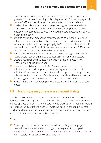double innovation and research spending across the economy. We would guarantee to underwrite funding for British partners in EU-funded projects like Horizon 2020 who would suffer from cancellation of income on Brexit.

- $\bullet$  Build on the Coalition's industrial strategy, working with sectors which are critical to Britain's ability to trade internationally, creating more 'Catapult' innovation and technology centres and backing private investment in particular in green innovation.
- Invest to ensure that broadband connections and services to be provided before 2020 have a speed of 2 Gbps or more, with fibre to the premises (FTTP) as standard and an unlimited usage cap by 2020 across the whole of the UK, in partnership with the Scottish Government and local authorities. SMEs should be prioritised in the rollout of hyperfast broadband.
- Aim to double the number of SMEs participating in the digital economy by supporting ICT capital expenditure by businesses in non-digital sectors.
- $\bullet$  Create a new retail and business strategy to look at the impact of new technology on jobs in key sectors.
- Commit to build digital skills in the UK. Support growth in the creative industries, including video gaming, by continuing to support the Creative Industries Council and tailored industry-specific support, promoting creative skills, supporting modern and flexible patent, copyright and licensing rules, and addressing the barriers to finance faced by small creative businesses.
- $\bullet$  Invest in the future supporting innovative technologies including the space industry.

#### **4.5 Helping everyone earn a decent living**

Most businesses recognise the long-term value in treating their employees decently and developing their skills. However, there are still too many examples of unscrupulous employers who perpetuate bad practice, which not only exploits workers but can also undermine the competitive position of good employers. This has to change if we are to give everyone a decent chance of earning a living and move towards a more productive economy.

We will:

Encourage the creation and widespread adoption of a 'good employer' kitemark covering areas such as paying a living wage, avoiding unpaid internships and using name-blind recruitment to make it easier for customers and investors to exercise choice and influence.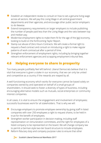- Establish an independent review to consult on how to set a genuine living wage across all sectors. We will pay this Living Wage in all central government departments and their agencies, and encourage other public sector employers to do likewise.
- Extend transparency requirements on larger employers to include publishing the number of people paid less than the Living Wage and the ratio between top and median pay.
- Modernise employment rights to make them fit for the age of the 'gig' economy, looking to build on the forthcoming Taylor Report.
- Stamp out abuse of Zero Hours Contracts. We will create a formal right to request a fixed contract and consult on introducing a right to make regular patterns of work contractual after a period of time.
- Strengthen enforcement of employment rights, including by bringing together relevant enforcement agencies and scrapping employment tribunal fees.

# **4.6 Helping everyone to share in prosperity**

Too many people justifiably feel left behind. Liberal Democrats believe that it is vital that everyone is given a stake in our economy, that we can only be united and competitive as a country if the rewards are reaped by all.

A well-functioning economy which works for everyone cannot be based solely on companies owned by and operated on behalf of a small groups of shareholders. It should seek to foster a diversity of types of business, including encouraging alternative models such as mutuals, social enterprises or community interest companies.

In all cases, it is vital to ensure the engagement and involvement of employees; successful businesses work for all stakeholders. That is why we will:

- Encourage employers to promote employee ownership by giving staff in listed companies with over 250 employees a right to request shares, to be held in trust for the benefit of employees.
- $\bullet$  Strengthen worker participation in decision-making, including staff representation on remuneration committees, and the right for employees of a listed company to be represented on the board. We will change company law to permit a German-style two-tier board structure to include employees.
- Reform fiduciary duty and company purpose rules to ensure that other

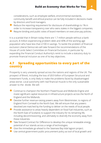considerations, such as employee welfare, environmental standards, community benefit and ethical practice can be fully included in decisions made by directors and fund managers.

- Reduce the reporting requirement for disclosure of shareholdings to 1% in order to increase transparency over who owns stakes in the biggest companies.
- Require binding and public votes of board members on executive pay policies.

It is a scandal that in Britain today there are 1.7 million people without a bank account, 8 million experiencing problem debt and 40% of the working-age population who have less than £100 in savings. To tackle the problem of financial exclusion Liberal Democrats will take forward the recommendations of the House of Lords Select Committee on Financial Exclusion, in particular by expanding the Financial Conduct Authority's remit to include a statutory duty to promote financial inclusion as one of its key objectives.

#### **4.7 Spreading opportunities to every part of the country**

Prosperity is very unevenly spread across the nations and regions of the UK. The prospect of Brexit, including the loss of £8.9 billion of European Structural and Investment Funds, is only likely to make the problems faced by disadvantaged areas worse. Local autonomy with real financial muscle is the only sustainable answer to the divide. We will:

- Continue to champion the Northern Powerhouse and Midlands Engine and invest significant capital resources in infrastructure projects across the North of England and the Midlands.
- Devolve further revenue-raising powers away from Westminster, to regions of England from Cornwall to the North East. We will ensure that any powers devolved are matched by the funding to deliver on the needs of local people.
- Provide assistance to areas heavily dependent on fossil fuel industries, such as the North East of Scotland, to support the industry for its remaining life, including decommissioning, and ultimately to diversify the economy away from these industries.
- Take forward Contract for Difference to develop the unique renewable energy potential of our islands across a range of technologies.
- Give the immediate go-ahead to the Swansea Bay tidal lagoon project.
- Use central government public procurement policy as tool of local growth and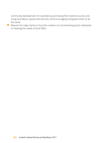community development, for example by purchasing from diverse sources and using local labour, goods and services, and encouraging local government to do the same.

● Require the major banks to fund the creation of a local banking sector dedicated to meeting the needs of local SMEs.

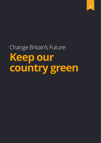Change Britain's Future: **Keep our country green**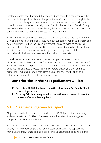Eighteen months ago, it seemed that the world had come to a consensus on the need to take the perils of climate change seriously. Countries across the globe had recognised that rising temperatures and pollution were not just an environmental issue, but an economic and security issue. But with the election of Donald Trump in the US and Britain's vote to leave the EU, the tides of isolationism and populism could halt or even reverse the progress that has been made.

The Conservatives seem determined to take Britain back to the 1980s, when the UK was the 'dirty man of Europe'. They have cut support for renewable energy and home insulation, sold off the Green Investment Bank and failed to control air pollution. Their actions put not just Britain's environment at risk but the health of its citizens and its economy, undermining the increasingly successful green industries which already employ more than half a million workers.

Liberal Democrats are determined that we live up to our environmental obligations. That's why we will pass five green laws at a UK level, all with benefits for Scotland: a Green Transport Act, a Zero-Carbon Britain Act, a Nature Act, a Green Buildings Act, and a Zero Waste Act to incorporate existing EU environmental protections, maintain product standards such as for energy efficiency, and establish a framework for continual improvement.

# **Our priorities in the next parliament will be:**

- **Preventing 40,000 deaths a year in the UK with our Air Quality Plan to reduce air pollution.**
- **Ensuring British farming remains competitive and doesn't lose out in the event of Britain leaving the EU.**

# **5.1 Clean air and green transport**

Air pollution in the UK is a killer. It contributes to 40,000 premature deaths a year and costs the NHS £15 billion. The government has failed time and again to comply with EU limits on pollution.

That's why the Liberal Democrats will pass a Green Transport Act, introduce an Air Quality Plan to reduce air pollution and protect UK citizens and support the manufacture of low-emission and electric vehicles, generating jobs and exports.



94 Scottish Liberal Democrat Manifesto 2017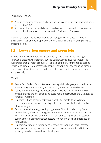This plan will include:

- A diesel scrappage scheme, and a ban on the sale of diesel cars and small vans in the UK by 2025.
- All private hire vehicles and diesel buses licensed to operate in urban areas to run on ultra-low emission or zero emission fuels within five years.

We will also reform vehicle taxation to encourage sales of electric and lowemission vehicles and develop electric vehicle infrastructure including universal charging points.

#### **5.2 Low-carbon energy and green jobs**

In government, we championed green energy, and oversaw the trebling of renewable electricity generation. But the Conservatives have repeatedly cut support for green energy producers – damaging the environment and costing British jobs. Liberal Democrats will expand renewable energy, reducing carbon emissions, cutting dependence on fossil fuel imports and generating more jobs and prosperity.

We will:

- Pass a Zero Carbon Britain Act to set new legally binding targets to reduce net greenhouse gas emissions by 80 per cent by 2040 and to zero by 2050.
- Set up a British Housing and Infrastructure Development Bank to mobilise investment into the low carbon and sustainable infrastructure the UK needs to remain competitive.
- Support the Paris agreement by ensuring the UK meets its own climate commitments and plays a leadership role in international efforts to combat climate change.
- Expand renewable energy, aiming to generate 60% of UK electricity from renewables by 2030, restoring government support for solar PV and onshore wind in appropriate locations (helping meet climate targets at least cost) and building more electricity interconnectors to underpin this higher reliance on renewables.
- Support investment in cutting-edge technologies including energy storage, smart grid technology, hydrogen technologies, off-shore wind, and tidal, and investing heavily in research and development.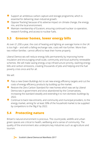- Support an ambitious carbon capture and storage programme, which is essential for delivering clean industrial growth.
- Oppose 'fracking' because of its adverse impact on climate change, the energy mix, and the local environment.
- Maintain membership of Euratom, ensuring continued nuclear co-operation, research funding, and access to nuclear fuels.

#### **5.3 Greener homes, lower energy bills**

At over £1,200 a year, the cost of heating and lighting an average home in the UK is too high – and with a falling exchange rate, costs will rise further. More than two million families cannot afford to heat their home properly.

Liberal Democrats will reduce energy bills permanently by improving home insulation and encouraging small-scale, community and local authority renewable schemes. We will make saving energy a top infrastructure priority, slashing energy bills and carbon emissions, creating thousands of jobs and helping end the fuel poverty crisis once and for all.

We will:

- Pass a new Green Buildings Act to set new energy efficiency targets and cut the costs of energy efficiency products by building up the market.
- Restore the Zero Carbon Standard for new homes which was set by Liberal Democrats in government and since abandoned by the Conservatives, increasing the standard steadily and extending it to non-domestic buildings by 2022.
- Continue to back new entrants, and community and municipal providers, to the energy market, aiming for at least 30% of the household market to be supplied by competitors to the 'Big 6' by 2022.

# **5.4 Protecting nature**

Britain's natural environment is precious. The countryside, wildlife and urban green spaces are critical to health, wellbeing and a sense of community. The quality of the environment also underpins key industries such as agriculture and tourism.

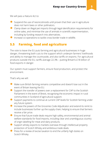We will pass a Nature Act to:

- Suspend the use of neonicotinoids until proven that their use in agriculture does not harm bees or other pollinators.
- Clamp down on illegal pet imports through legal identification requirements for online sales, and minimise the use of animals in scientific experimentation, including by funding research into alternatives.
- Increase co-operations to tackle cross-border trade in wildlife.

#### **5.5 Farming, food and agriculture**

The vote to leave the EU puts farming and agricultural businesses in huge danger, threatening both cuts to the support which underpin farmers' livelihoods and ability to manage the countryside, and also tariffs on exports. For agricultural products outside the EU, tariffs average 22.3% – putting Britain's £18 billion of food exports in danger.

Our system must support farmers, ensure food production, and protect the environment.

That's why we will:

- Make sure British farming remains competitive and doesn't lose out in the event of Britain leaving the EU.
- Support the transfer of powers over a replacement for CAP to the Scottish Parliament in the event of Brexit, recognising the economic impact in rural communities in Scotland of agricultural support.
- Support payments to continue at current CAP levels for Scottish farming under any future system.
- Increase the powers of the Groceries Code Adjudicator and extend its remit to include businesses further up the supply chain, helping to ensure that farmers receive a fair price.
- Ensure that future trade deals require high safety, environmental and animal welfare standards for food imports, including clear and unambiguous country of origin labelling for meat and dairy products.
- Support whisky exports to markets overseas through intellectual property protection of Scotch Whisky and ambitious trade deals.
- Press for a review of excise taxation to end the unfairly high duties on Scotch Whisky.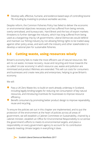Develop safe, effective, humane, and evidence-based ways of controlling bovine TB, including by investing to produce workable vaccines.

Despite reform, the Common Fisheries Policy has failed to deliver the economic or environmental objectives necessary and has suffered from being remote, overly-centralised, and bureaucratic. Hard Brexit and the loss of export markets threatens to further damage the industry, which has long suffered from being used as a bargaining chip by UK governments. Liberal Democrats would defend and maintain our fishing industry by not allowing fishing rights to be traded away against other policy areas, and work with the industry and other stakeholders to develop a national plan for sustainable fisheries.

### **5.6 Cutting waste, using resources wisely**

Britain's economy fails to make the most efficient use of natural resources. We aim to cut waste, increase recovery, reuse and recycling and move towards the so-called 'circular economy' in which resource use, waste and pollution are minimised and product lifetimes are extended. This will cut costs for consumers and businesses and create new jobs and enterprises, helping to grow Britain's economy.

We will:

- Pass a UK Zero Waste Act, to build on work already underway in Scotland, including legally-binding targets for reducing net consumption of key natural resources, and introducing incentives for businesses to improve resource efficiency.
- Benefit consumers by promoting better product design to improve repairability, reuse and recycling.

To ensure the policies set out in this chapter are implemented, and to put the protection of the environment at the heart of policies across all areas of government, we will establish a Cabinet Committee on Sustainability, chaired by a cabinet minister, establish an Office for Environmental Responsibility to scrutinise the government's efforts to meets its environmental targets, and place a responsibility on every government agency to account for its contribution towards meeting climate targets in everything it does.

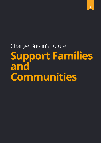Change Britain's Future: **Support Families and Communities**

**6**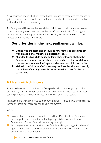A fair society is one in which everyone has the means to get by and the chance to get on. It means being able to provide for your family, afford somewhere to live, and work within your community.

That's why we will increase the availability of childcare to help parents who want to work, and why we will ensure that the benefits system is fair – focusing on helping people and not just saving money. It's why we will work to build more houses and make them affordable.

### **Our priorities in the next parliament will be:**

- **Extend free childcare and encourage new fathers to take time off with an additional month's paid paternity leave.**
- **Abandon the two-child policy on family benefits, and abolish the Conservatives' 'rape clause' where a woman has to declare children that are born as a result of rape in order to access child tax credits.**
- **Maintain the 'triple lock' of increasing the State Pension each year by the highest of earnings growth, prices growth or 2.5% for the next parliament.**

# **6.1 Help with childcare**

Parents often want to take time out from paid work to care for young children but in many families both parents want, or have, to work. The costs of childcare can be prohibitive and opportunities for flexible working are scarce.

In government, we were proud to introduce Shared Parental Leave and increases in free childcare but there are still gaps in the system.

We will:

- Expand Shared Parental Leave with an additional 'use it or lose it' month to encourage fathers to take time off with young children. We would make Paternity and Shared Parental Leave a 'day one' right.
- $\bullet$  Encourage employers to provide more flexible working, making this a 'day one' right, so that there is a presumption that work is flexible unless there is a clear business reason it cannot be.



 $\leq$  Scottish Liberal Democrat Manifesto 2017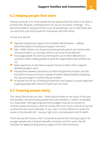#### **6.2 Helping people find work**

Having a paid job is for many people the key opportunity they need to be able to achieve their life goals. Unemployment isn't just an economic challenge – it's a personal problem, and government must do everything it can to help those who can work find a job and provide for themselves and their family.

To that end, we will:

- Separate employment support from benefits administration making Jobcentres places of training and support into work.
- Take 13,000 children out of poverty by letting both parents earn before their Universal Credit is cut, and also reverse cuts to the Family Element.
- Encourage people into work by reversing the cuts to Work Allowances in Universal Credit, enabling people to work for longer before their benefits are cut.
- Raise awareness of, and seek to expand, Access to Work, which supports disabled people in work.
- Improve links between Jobcentres and Work Programme providers and the local NHS to ensure all those in receipt of health-related benefits are getting the care and support to which they are entitled.
- Accelerate the roll-out of Individual Placement and Support, a proven approach to getting people with mental ill-health back into work.

# **6.3 Treating people fairly**

The Liberal Democrats are clear - balancing the books on the backs of the poor and disabled, and demonising people who claim benefits, is neither acceptable nor responsible. Although all government budgets must be scrutinised to minimise waste and ensure value for money, this must not be used as an excuse to attack the poor and vulnerable. In any case it is more effective to tackle the causes of the benefits bill – low pay, high rents, unemployment and ill-health.

That's why we will reverse unfair Conservative policies like reducing support for younger people and cutting the benefits of people not fit for work. We will reinstate the legally binding poverty targets of the Child Poverty Act.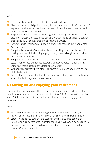We will:

- $\blacksquare$  Uprate working-age benefits at least in line with inflation.
- Abandon the two-child policy on family benefits, and abolish the Conservatives' 'rape clause' where a woman has to declare children that are born as a result of rape in order to access benefits.
- Help young people in need by reversing cuts to housing benefit for 18-21-yearolds and increase the rates of Job Seeker's Allowance and Universal Credit for those aged 18-24 at the same rate as minimum wages.
- Reverse cuts to Employment Support Allowance to those in the Work-related Activity Group.
- Scrap the 'bedroom tax' across the UK, while seeking to achieve the aim of making best use of the housing supply through incentivising local authorities to help tenants 'downsize'.
- Scrap the discredited Work Capability Assessment and replace it with a new system, run by local authorities according to national rules, including a 'real world' test that is based on the local labour market.
- Withdraw eligibility for the Winter Fuel Payment from pensioners who pay tax at the higher rate (40%).
- Ensure that those using food banks are aware of their rights and how they can access hardship payments where relevant.

# **6.4 Saving for and enjoying your retirement**

Life expectancy is increasing. This is good news, but it brings challenges; older people may need a pension income that will last for 20, 30 or even 40 years. We want Britain to be the best place in the world to save for, and enjoy, your retirement.

We will:

- Maintain the 'triple lock' of increasing the State Pension each year by the highest of earnings growth, prices growth or 2.5% for the next parliament.
- $\bullet$  Establish a review to consider the case for, and practical implications of, introducing a single rate of tax relief for pensions, which would be designed to be simpler and fairer and which would be set more generously than the current 20% basic rate relief.

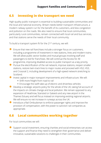#### **6.5 Investing in the transport we need**

High-quality public transport is essential to building sustainable communities and the local and national economy. Britain needs better transport infrastructure, a modern railway system run for the benefit of its customers, and less congestion and pollution on the roads. We also need to ensure that local communities, particularly rural communities, remain connected with local rail and bus services, and that stations serve the needs of their local community.

To build a transport system fit for the 21st century, we will:

- Ensure that new rail franchises include a stronger focus on customers, including a programme of investment in new stations, lines and modern trains. We will allow public sector bodies and mutual groups involving staff and passengers to bid for franchises. We will continue the Access for All programme, improving disabled access to public transport as a key priority.
- Pursue the electrification of the rail network, improve stations, reopen smaller stations, restore twin-track lines to major routes and proceed with HS2, HS3, and Crossrail 2, including development of a high-speed network stretching to Scotland.
- Invest capital in major transport improvements and infrastructure. We will:
	- Shift more freight from road to rail
	- Encourage the swift take-up of electric and driverless vehicles
- Develop a strategic airports policy for the whole of the UK, taking full account of the impacts on climate change and local pollution. We remain opposed to any expansion of Heathrow, Stansted or Gatwick and any new airport in the Thames Estuary and will focus instead on improving existing regional airports. We will ensure no net increase in runways across the UK.
- Introduce a Rail Ombudsman to enforce passenger rights and improve the provision of compensation, with the power to sanction rail companies as appropriate.

#### **6.6 Local communities working together**

For local communities we will:

Support social investment, ensuring charities and social enterprises can access the support and finance they need to strengthen their governance and deliver innovative, sustainable solutions to challenges in their communities.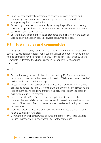- Enable central and local government to prioritise employee-owned and community benefit companies in awarding procurement contracts by strengthening the Social Value Act.
- Protect high streets and consumers by reducing the proliferation of betting shops and capping the maximum amount able to be bet on fixed odds betting terminals (FOBTs) at one time to £2.
- Ensure that EU consumer protection standards are maintained in the event of Brexit and, in the Scottish context, develop consumer advocacy.

### **6.7 Sustainable rural communities**

A thriving rural community needs local services and community facilities such as schools, public transport, local shops, cultural venues and pubs. It needs enough homes, affordable for local families, to ensure those services are viable. Liberal Democrats understand the changes needed to support a living, working countryside.

We will:

- $\bullet$  Ensure that every property in the UK is provided, by 2022, with a superfast broadband connection with a download speed of 30Mbps, an upload speed of 6Mbps, and an unlimited usage cap.
- $\bullet$  Invest £2 billion in innovative solutions to ensure the provision of high speed broadband across the rural UK, working with the devolved administrations and local authorities and providing grants to help areas replicate the success of existing community-led projects.
- Set up a £2 billion Rural Services Fund of capital investment to enable communities to establish a local base from which to co-locate services such as council offices, post offices, children's centres, libraries, and visiting healthcare professionals.
- Work with Ofcom to ensure that mobile phone companies provide fast and reliable coverage in rural areas.
- Commit to preventing Post Office closures and protect Royal Mail's Universal Service Obligation to deliver across the UK for the same price.

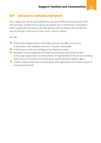#### **6.8 Access to culture and sport**

Arts, media and sports are essential for personal fulfilment and quality of life – they are part of what turns a group of people into a community. Funding for these organisations is put at risk with Brexit, and the Liberal Democrats will ensure that we continue to invest in our cultural capital.

We will:

- Protect the independence of the BBC and set up a BBC Licence Fee Commission, and maintain Channel 4 in public ownership.
- Protect sports and arts funding via the National Lottery.
- Maintain current standards of Intellectual Property (IP) protection with continuing cooperation on enforcement of IP generated in the UK and working within the EU to ensure the continuation of territorial licensing of rights.
- Create creative enterprise zones to grow and regenerate the cultural output of areas across the UK.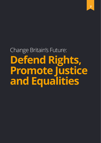# Change Britain's Future: **Defend Rights, Promote Justice and Equalities**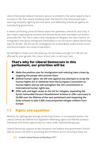Liberal Democrats believe that every person is entitled to the same opportunity to succeed in life. That means breaking down the barriers that hold people back – reducing inequality, fighting discrimination, and defending individuals against an overreaching government.

It means promoting universal liberal values like openness, tolerance, and unity. It also means opposing the extreme and divisive forces that now blight our politics and public life. The rise in hate crime, the abuse of refugees, the toxic rhetoric on immigration and about immigrants themselves is not the future Liberal Democrats want for Britain. We will not let campaigners for a Hard Brexit pretend that racism and discrimination are a kind of patriotism.

We will fight to make sure that what you do and where you get to in life are not affected by your gender, the colour of your skin, or who you love.

#### **That's why for Liberal Democrats in this parliament, our priorities will be:**

- **Make the positive case for immigration and reducing hate crimes by targeting the people who commit them .**
- **Defend human rights: we will vote against any attempts to scrap the Human Rights Act or withdraw from the European Convention on Human Rights and we will strengthen the UK's commitment to international human rights law.**
- **Offer safe and legal routes to the UK for refugees, expanding the Syrian Vulnerable Persons Resettlement Scheme to offer sanctuary to 50,000 over the lifetime of the next parliament and reopening the Dubs scheme to take 3,000 unaccompanied refugee children from Europe.**

# **7.1 Rights and equalities**

Whether by righting past wrongs, protecting citizens, or increasing freedom, the Liberal Democrats believe that legislation defending rights and liberties protects individuals and drives opportunity for many under-represented groups.

Liberal Democrats oppose all discrimination and believe that government should take an active role both in punishing discrimination and in ensuring it does not

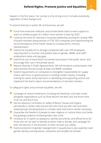happen in the first place. Our society is only strong once it includes everybody regardless of their background.

To extend diversity in public life and business, we will:

- Fund more extensive childcare, and provide better back-to-work support to reach an ambitious goal of a million more women in work by 2025.
- Continue the drive for diversity in business leadership, pushing for at least 40% of board members being women in FTSE 350 companies and implementing the recommendations of the Parker review to increase ethnic minority representation.
- **●** Extend the Equality Act to all large companies with over 250 employees, requiring them to monitor and publish data on gender, BAME, and LGBT+ employment levels and pay gaps.
- **●** Extend the use of name-blind recruitment processes in the public sector and encourage their use in the private sector.
- **●** Require diversity in Public Appointments. We will introduce a presumption that every shortlist should include at least one BAME candidate.
- Extend requirements on companies to strengthen responsibility for supply chains, with focus on good practice in tackling modern slavery, including training for police and prosecutors in identifying and supporting victims and implement the Ewins' report recommendations on domestic workers.

To safeguard rights and promote equalities, we will:

- Campaign to reduce intolerance, including anti-Semitism, and hate crimes alongside organisations such as Show Racism the Red Card, the Anne Frank Trust UK, and Kick It Out.
- Ask the Advisory Committee on Safety of Blood, Tissues and Organs periodically to review rules around men who have sex with men and other related groups donating blood to consider what restrictions remain necessary.
- Guarantee the freedom of people to wear religious or cultural dress, and tackle the growing incidence of Islamophobic hate crime.
- Introduce an 'X' option on passports, identity documents, and official forms for those who do not wish to identify as either male or female, and campaign for their introduction in the provision of other services e.g. utilities.
- $\bullet$  Extend protection of gender reassignment in equality law to also explicitly cover gender identity and expression, streamline and simplify the Gender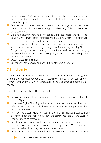Recognition Act 2004 to allow individuals to change their legal gender without unnecessary bureaucratic hurdles, for example the intrusive medical tests currently required.

- Remove the spousal veto, and abolish remaining marriage inequalities in areas such as pensions, hospital visitation rights, and custody of children in the event of bereavement.
- Develop a government-wide plan to tackle BAME inequalities, and review the Equality and Human Rights Commission to determine whether it is effectively fulfilling its role and whether its funding is adequate.
- Increase accessibility to public places and transport by making more stations wheelchair accessible, improving the legislative framework governing Blue Badges, setting up a benchmarking standard for accessible cities, and bringing into effect the provisions of the 2010 Equality Act on discrimination by private hire vehicles and taxis.
- Outlaw caste discrimination.
- Enshrine the UN Convention on the Rights of the Child in UK law.

# **7.2 Liberty**

Liberal Democrats believe that we should all be free from an overreaching state and that the individual freedoms guaranteed by the European Convention on Human Rights and the Human Rights Act are central to a free and democratic society.

For that reason, the Liberal Democrats will:

- Oppose any attempt to withdraw from the ECHR or abolish or water down the Human Rights Act.
- Introduce a Digital Bill of Rights that protects people's powers over their own information, supports individuals over large corporations, and preserves the neutrality of the Web.
- In light of the press's failure to engage in effective self-regulation, seek to ensure delivery of independent self-regulation, and commence Part 2 of the Leveson Inquiry as soon as practicable.
- End the ministerial veto on release of information under the Freedom of Information Act, and take steps to reduce the proportion of FOI requests where information is withheld by government departments.
- Order Ofcom to launch an immediate full assessment of media plurality in the

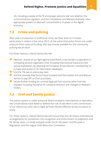UK, including a review of the 'fit and proper persons test' and whether the communications regulator, and the Competition and Markets Authority, have appropriate powers to deal with concentrations of power in the digital economy.

### **7.3 Crime and policing**

After years of reduction in traditional crime, we have seen an increase, particularly in violent crime, since 2015. At the same time police forces are under pressure from reduced funding, with less money available for the community policing we all value.

For these reasons, Liberal Democrats will:

- Maintain, as part of our fight against hard Brexit, cross-border co-operation in combating serious organised crime, including international fraud and child sexual exploitation, by retaining the European Arrest Warrant, membership of Europol and access to EU information databases.
- $\bullet$  End the 1% cap on police pay rises.
- End the anomaly that forces Police Scotland and the Scottish Fire and Rescue Service to pay VAT on their purchases.
- Secure further funding for criminal legal aid from sources other than the taxpayer including insurance for company directors and changes to Restraint Orders.

# **7.4 Civil and family justice**

The justice system is under pressure; Brexit threatens international co-operation; the Conservatives have failed to defend the rule of law which is the cornerstone of our democracy and cuts to legal aid have denied effective access to justice to many.

For these reasons, Liberal Democrats will ensure that the UK retains international arrangements for jurisdiction, the recognition and enforcement of judgments and for family cases, currently enjoyed under the EU Brussels I and Brussels II Regulation and the Hague Child Abduction Convention.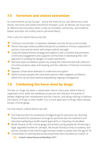# **7.5 Terrorism and violent extremism**

As recent events across Europe – and at the heart of our own democracy, have shown, terrorism and violent extremism threaten us all. As liberals, we must have an effective security policy which is also accountable, community- and evidencebased, and does not unduly restrict personal liberty.

That is why the Liberal Democrats will:

- Continue cross-border co-operation between security forces across Europe.
- Permit intercepts where justified and permit surveillance of those suspected of serious crime and terrorism with proper judicial oversight.
- Scrap the flawed Prevent strategy and replace it with a scheme that prioritises community engagement and supports communities in developing their own approach to tackling the dangers of violent extremism.
- Roll back state surveillance powers by ending the indiscriminate bulk collection of communications data, bulk hacking, and the collection of Internet Connection Records.
- Oppose Conservative attempts to undermine encryption.
- Notify innocent people who have been placed under targeted surveillance where this can be done without jeopardising ongoing investigations.

# **7.6 Combating the harm done by drugs**

The war on drugs has been a catastrophic failure. Every year, billions flow to organised crime, while we needlessly prosecute and imprison thousands of people, blighting their employment and life chances, and doing nothing to address the impact of drugs on their health. Our current approach to drugs helps nobody except criminal gangs.

For that reason, Liberal Democrats will:

- End imprisonment for possession of illegal drugs for personal use, diverting those arrested for possession of drugs for personal use into treatment and education (adopting a health-based approach), or imposing civil penalties.
- Break the grip of the criminal gangs and protect young people by introducing a legal, regulated market for cannabis. We would introduce limits on potency and permit cannabis to be sold through licensed outlets to adults over the age of 18.
- Concentrate on catching and prosecuting those who manufacture, import, or



94 Scottish Liberal Democrat Manifesto 2017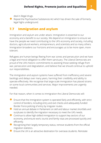deal in illegal drugs.

● Repeal the Psychoactive Substances Act which has driven the sale of formerly legal highs underground.

### **7.7 Immigration and asylum**

Immigration and asylum are under attack. Immigration is essential to our economy and a benefit to our society. We depend on immigration to ensure we have the people we need contributing to the UK's economy and society, including doctors, agricultural workers, entrepreneurs, and scientists and so many others. Immigration broadens our horizons and encourages us to be more open, more tolerant.

Refugees are human beings fleeing from war zones and persecution and we have a legal and moral obligation to offer them sanctuary. The Liberal Democrats are proud of the UK's historic commitments to assisting those seeking refuge from war, persecution and degradation, and believe that we should continue to uphold our responsibilities.

The immigration and asylum systems have suffered from inefficiency and severe backlogs and delays over many years, harming their credibility and ability to operate effectively. We recognise that large-scale immigration has placed strains on some local communities and services. Major improvements are urgently needed.

For that reason, when it comes to immigration the Liberal Democrats will:

- Ensure that the immigration system is operated fairly and efficiently, with strict control of borders, including entry and exit checks and adequately funded Border Force policing of entry by irregular routes.
- Hold an annual debate in Parliament on skill and labour market shortfalls and surpluses to identify the migration necessary to meet the UK's needs.
- Continue to allow high-skilled immigration to support key sectors of our economy, and ensure work, tourist and family visas are processed quickly and efficiently.
- Recognising their largely temporary status, remove students from the official migration statistics.
- $\bullet$  Ensure the UK is an attractive destination for overseas students. Reinstate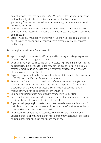post-study work visas for graduates in STEM (Science, Technology, Engineering and Maths) subjects who find suitable employment within six months of graduating. Give the devolved administrations the right to sponsor additional post-study work visas.

- Work with universities to ensure a fair and transparent student visa process and find ways to measure accurately the number of students leaving at the end of their course.
- Establish a centrally-funded Migrant Impact Fund to help local communities to adjust to new migration and meet unexpected pressures on public services and housing.

And for asylum, the Liberal Democrats will:

- $\bullet$  Apply the asylum system fairly, efficiently and humanely including the process for those who have no right to be here.
- Offer safe and legal routes to the UK for refugees to prevent them from making dangerous journeys, which too often result in the loss of life, for example via reform of family reunion rules to make it easier for refugees to join relatives already living in safety in the UK.
- Expand the Syrian Vulnerable Persons Resettlement Scheme to offer sanctuary to 50,000 over the lifetime of the next parliament.
- Re-open the Dubs unaccompanied child refugee scheme, ensuring Britain meets its responsibilities by taking in 3,000 unaccompanied refugee children. Liberal Democrats would offer these children indefinite leave to remain, meaning they will not be deported once they turn 18.
- End indefinite immigration detention by introducing a 28-day limit.
- Speed up the processing of asylum claims, reducing the time genuine refugees must wait before they can settle into life in the UK.
- Expect working-age asylum seekers who have waited more than six months for their claim to be processed to seek work like other benefit claimants, and only to receive benefits if they are unable to do so.
- Offer asylum to people fleeing countries where their sexual orientation or gender identification means that they risk imprisonment, torture, or execution and stop deporting people at risk to such countries.

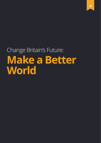# Change Britain's Future: **Make a Better World**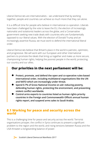Liberal Democrats are internationalists – we understand that by working together, people and countries can achieve so much more that they can alone.

It is a difficult time for people who believe in international co-operation. Liberals have been challenged by the vote to leave the EU, the election of increasingly nationalist and isolationist leaders across the globe, and a Conservative government seeking new trade deals with countries who are fundamentally opposed to our liberal values. With the election of Donald Trump and an increasingly assertive Russia, we must work to defend the international liberal order.

Liberal Democrats believe that Britain's place in the world is patriotic, optimistic, and progressive. We will work with our European and other international partners to promote the ideals that bring us together and make us more secure, championing human rights, helping the poorest people in the world, protecting our country and our allies.

### **Our priorities in the next parliament will be:**

- **Protect, promote, and defend the open and co-operative rules-based international order, including multilateral organisations like the UN and NATO which are increasingly under threat.**
- **Spend 0.7% of Gross National Income on aid: reducing poverty, defending human rights, protecting the environment, and preventing violent conflict worldwide.**
- **Control arms exports to countries listed as human rights priority countries in the Foreign and Commonwealth Office's annual human rights report, and suspend arms sales to Saudi Arabia.**

#### **8.1 Working for peace and security across the world**

This is a challenging time for peace and security across the world. Terrorist organisations prosper, the conflict in Syria continues to present a significant problem to the region and the world, and rising tensions between Russia and the USA threaten a longstanding balance of power.

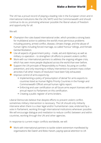The UK has a proud record of playing a leading role in the European Union and in international institutions like the UN, NATO and the Commonwealth and should continue to do so, promoting wherever possible the liberal values of freedom and opportunity for all.

We will:

- Champion the rules-based international order, which provides a strong basis for multilateral action to address the world's most pernicious problems including poverty, armed conflict, disease, climate change, and the abuse of human rights including forced marriage, so-called 'honour' killings, and Female Genital Mutilation.
- $\bullet$  Use all aspects of government policy trade, aid and diplomacy as well as military co-operation – to strengthen UK efforts to prevent violent conflict.
- $\bullet$  Work with our international partners to address the ongoing refugee crisis, which has seen more people displaced across the world than ever before.
- Support the UN principle of Responsibility to Protect, focusing on conflict prevention, and only resorting to military intervention to prevent mass civilian atrocities if all other means of resolution have been fully exhausted.
- **O** Improve control of arms exports by:
	- Implementing a policy of 'presumption of denial' for arms exports to countries listed as Human Rights Priority Countries in the Foreign and Commonwealth Office's annual human rights report.
	- Enforcing end-user certification on all future arms export licenses with an annual report to Parliament on this certification.
	- Creating a public register of arms brokers.

Liberal Democrats believe that despite efforts to prevent violent conflict, sometimes military intervention is necessary. The UK should only militarily intervene when there is a clear legal and/or humanitarian case, endorsed by a vote in Parliament, working through international institutions whenever possible. We will encourage dialogue and mediation to reduce conflict between and within countries, working through the UN and other agencies.

In response to current major conflicts worldwide, we will:

● Work with international partners to tackle violent extremism manifested by organisations like Daesh and Boko Haram, paying special attention to UK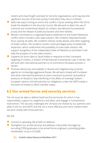citizens who have fought overseas for terrorist organisations, and may become significant sources of terrorist activity if and when they return to Britain.

- *●* Seek new ways to bring an end to the conflict in Syria, working within the UN to break the deadlock in the Security Council. We will work to deter the use of chemical and conventional attacks on civilians, and demand humanitarian access and the release of political prisoners and their families.
- Remain committed to a negotiated peace settlement to the Israeli-Palestinian conflict, which includes a two-state solution. We condemn disproportionate force used by all sides. We condemn Hamas' rocket attacks and other targeting of Israeli civilians. We condemn Israel's continued illegal policy of settlement expansion, which undermines the possibility of a two-state solution. We support recognition of the independent State of Palestine as and when it will help the prospect of a two-state solution.
- Suspend UK arms sales to Saudi Arabia in response to their consistent targeting of civilians, in breach of International Humanitarian Law, in Yemen. We will work with international partners to re-commence the peace process in Yemen.
- Promote democracy and stability in Ukraine and neighbouring countries against an increasingly aggressive Russia. We will work closely with European and other international partners to exert maximum economic and political pressure on Russia to stop interfering in the affairs of sovereign Eastern European nations, and will stand by our obligations under the NATO treaty in the event of threats to NATO member states.

#### **8.2 Our armed forces and security services**

The UK must be able to defend itself and the territories for which it has responsibility, support its neighbours and allies, and engage in humanitarian intervention. The security challenges the UK faces are shared by our partners and allies in the EU and NATO and the UK is more effective and more resilient when we work closely with those partners.

We will:

- Commit to spending 2% of GDP on defence.
- Strengthen our armed services and address critical skills shortages by recruiting STEM graduates to be armed forces engineers, providing 'golden handshakes' of up to £10,000.



 $\geq$  Scottish Liberal Democrat Manifesto 2017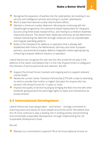**Make a Better World 8**

- $\bullet$  Recognise the expansion of warfare into the cybersphere, by investing in our security and intelligence services and acting to counter cyberattacks.
- Work to lead international nuclear disarmament efforts.
- $\bullet$  Maintain a minimum nuclear deterrent. We propose continuing with the Dreadnought programme, the submarine-based replacement for Vanguard, but procuring three boats instead of four, and moving to a medium-readiness responsive posture. This would mean replacing continuous at-sea deterrence – instead maintaining the deterrent through measures such as unpredictable and irregular patrolling patterns.
- Build on the framework for defence co-operation that is already wellestablished with France, the Netherlands, Germany and other European partners, and promote European defence integration where appropriate by enhancing European defence industry co-operation.

Liberal Democrats recognise the vital role the UK's armed forces play in the defence of the nation and believe that it is the role of government to safeguard the interests of service personnel and veterans. We will:

- Support the Armed Forces Covenant and ongoing work to support veterans' mental health.
- Review the current Career Transition Partnership (CTP) with a view to extending its remit to provide free Further or Higher Education for anyone who has served in the Armed Forces for 12 years or more.
- Improve the quality of service housing by bringing the MoD into line with other landlords, giving tenants the same legal rights to repair and maintenance as private tenants.

#### **8.3 International development**

Liberal Democrats have always been – and remain – strongly committed to ensuring justice and equity for poor people around the world. We believe that the UK must continue to play a leading role in ending poverty and promoting environmentally sustainable development, through implementing the UN Sustainable Development Goals.

We will:

Maintain our commitment to spend 0.7% of UK Gross National Income on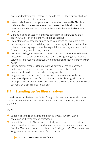overseas development assistance, in line with the OECD definition, which we legislated for in the last parliament.

- Invest to eliminate within a generation preventable diseases like TB, HIV and malaria and explore new ways to support research and development into vaccinations and treatment to combat these and other deadly diseases and infections.
- $\bullet$  Develop a global education strategy to address the urgent funding crisis causing 263 million children to miss out on schooling.
- Lead international action to ensure global companies pay fair taxes in the developing countries in which they operate, including tightening anti-tax haven rules and requiring large companies to publish their tax payments and profits for each country in which they operate.
- Continue building the resilience of poorer countries to resist future disasters, investing in healthcare and infrastructure and training emergency response volunteers, and respond generously to humanitarian crises wherever they may occur.
- Provide greater resources for international environmental co-operation, particularly on climate change and on actions to tackle illegal and unsustainable trade in timber, wildlife, ivory, and fish.
- In light of the US government's dangerous and anti-science attacks on international programmes of vaccination and family planning, which impact disproportionately on the health of women and children, seek to protect global spending on these essential provisions.

# **8.4 Standing up for liberal values**

Liberal Democrats believe that British foreign policy and international aid should seek to promote the liberal values of human rights and democracy throughout the world.

We will:

- Support free media and a free and open internet around the world, championing the free flow of information.
- Support the current UN initiative to protect journalists and to combat the impunity with which many countries treat those who attack reporters on the frontline. To this end, we will provide ad hoc funding to UNESCO's International Programme for the Development of Communication.



94 Scottish Liberal Democrat Manifesto 2017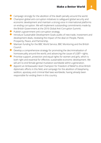- Campaign strongly for the abolition of the death penalty around the world.
- Champion global anti-corruption initiatives to safeguard global security and economic development and maintain a strong voice in international platforms on ending corruption. We will implement outstanding commitments made by the British Government at the 2016 Global Anti-Corruption Summit.
- Publish a government anti-corruption strategy.
- Introduce Sustainable Development Goals audits of new trade, investment and development deals, reviewing the impact of the deal on People, Planet, Prosperity, Peace, and Partnership.
- Maintain funding for the BBC World Service, BBC Monitoring and the British Council.
- Develop a comprehensive strategy for promoting the decriminalisation of homosexuality around the world, and advancing the cause of LGBT+ rights.
- Prioritise support, protection and equal rights for women and girls, which is both right and essential for effective, sustainable economic development. We will aim to end female genital mutilation worldwide within a generation.
- Appoint an Ambassador-level Champion for Freedom of Belief to drive British diplomatic efforts in this field, and campaign for the abolition of blasphemy, sedition, apostasy and criminal libel laws worldwide, having already been responsible for ending them in this country.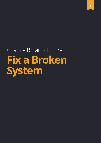# Change Britain's Future: **Fix a Broken System**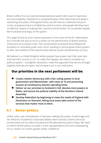Britain suffers from an overcentralised political system with a lack of openness and accountability. Parliament is unrepresentative of the electorate and weak in restraining the power of the government, we still have an unelected House of Lords, local government is hobbled by central control, and people feel they have no effective means of making their concerns and priorities. It's no wonder people feel frustrated and angry at the system.

This anger found its most recent expression in the result of the EU referendum, but ironically this was as much a verdict on the performance of British political institutions as European ones. The Conservatives' proposed Great Repeal Bill threatens to centralise power even more, handing to central government powers to alter vast swathes of the statute book without proper parliamentary scrutiny.

We believe in a United Kingdom where people have power over their own lives and how their country is run. To make this happen, we need to revitalise our political system – strengthen devolution, make the argument that we are stronger together than we are apart, and increase trust in our institutions.

# **Our priorities in the next parliament will be:**

- **Create a better democracy with a fair voting system in local government and Westminster, with votes at 16 and preventing evasion of constituency election spending limits.**
- **Deliver on our promises to Scotland in full, devolve more powers to Wales, and secure the political stability of the Northern Ireland Assembly.**
- **Develop federalism by beginning to meet the needs of England with Devolution on Demand, letting local areas take control of the services that matter most to them.**

# **9.1 Better politics**

Unfair votes, over-centralisation of decision-making, the power of patronage and the influence of powerful corporate lobbies mean ordinary citizens and local communities are too often excluded and left alienated by politics today. We need to reform British politics to make it more representative and more empowering of our citizens so it earns greater public confidence.

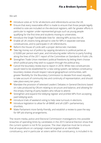We will:

- Introduce votes at 16 for all elections and referendums across the UK.
- Ensure that every reasonable effort is made to ensure that those people legally entitled to vote are included on the electoral registers, with far greater efforts in particular to register under-represented groups such as young people qualifying for the first time and students moving to universities.
- Introduce the Single Transferable Vote for electing MPs across the UK.
- Enable all UK citizens living abroad to vote for MPs in separate overseas constituencies, and to participate in UK referendums.
- Reform the House of Lords with a proper democratic mandate.
- Take big money out of politics by capping donations to political parties at £10,000 per person each year, and introducing wider reforms to party funding along the lines of the 2011 report of the Committee on Standards in Public Life.
- Strengthen Trade Union members' political freedoms by letting them choose which political party they wish to support through the political levy.
- Cancel the boundary review due to report in 2018. While new constituencies would need to be established for a new voting system, we believe constituency boundary reviews should respect natural geographical communities, with greater flexibility for the Boundary Commission to deviate from exact equality to take account of community ties and continuity of representation, and should take place every ten years.
- Mandate the provision of televised Leaders' Debates in General Elections based on rules produced by Ofcom relating to structure and balance, and allowing for the empty-chairing of party leaders who refuse to attend.
- Strengthen and expand the lobbying register and prohibit MPs from accepting paid lobbying work.
- Introduce trials of weekend voting to help raise turnouts in elections.
- Introduce legislation to allow for all-BAME and all-LGBT+ parliamentary shortlists.
- Make Parliament more family-friendly, and establish a review to pave the way for MP job-sharing arrangements.

The recent media, police and Electoral Commission investigations into possible breaches of spending limits by candidates in the 2015 General Election show that the current system is not fit for purpose. The clear objective must be to ensure that all expenditure on campaign material targeted at an identifiable constituency, and in particular at voters within that constituency, is included in its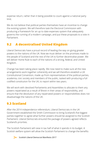expense return, rather than it being possible to count against a national party limit.

We do not believe that political parties themselves have an incentive to change the existing system. We will therefore task the Electoral Commission with producing a framework for an up to date expenses system that adequately governs the running of a modern campaign, and put these proposals to a vote in Parliament.

# **9.2 A decentralised United Kingdom**

Liberal Democrats have a proud record of leading the way on giving greater powers to the nations of the UK. Now we must deliver on the promises made to the people of Scotland and the rest of the UK to further decentralise power. We will deliver Home Rule to each of the nations of a strong, federal, and United Kingdom.

Change has been taking place rapidly. We now need to make sure all the new arrangements work together coherently and we will therefore establish a UK Constitutional Convention, made up from representatives of the political parties, academia, civic society and members of the public, tasked with producing a full codified constitution for the UK, to report within two years.

We will work with devolved Parliaments and Assemblies to allocate to them any powers repatriated as a result of Brexit in their areas of responsibility, and ensure that the devolution of any repatriated powers or responsibilities does not disadvantage the nations of the UK.

### **9.3 Scotland**

After the 2014 independence referendum, Liberal Democrats in the UK Government established the Smith Commission to bring Scotland's five biggest parties together to agree what further powers should be assigned to the Scottish Parliament. Liberal Democrats ensured the package of powers agreed reflects Scotland's priorities.

The Scottish Parliament will raise in tax half of what it spends in its budget. A Scottish welfare system will allow the Scottish Parliament to change the benefits

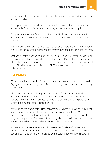regime where there is specific Scottish need or priority, with a starting budget of around £3 billion.

These powers and more will deliver for people in Scotland an empowered and accountable Scottish Parliament in a strong and secure United Kingdom.

Our plans for a written, federal constitution will include a permanent Scottish Parliament that could only be abolished by the sovereign will of the Scottish people.

We will work hard to ensure that Scotland remains a part of the United Kingdom. We will oppose a second independence referendum and oppose independence.

Scotland benefits from being inside the UK and EU single markets. Each is worth billions of pounds and supports tens of thousands of Scottish jobs. Under the Liberal Democrats inclusion in those single markets will continue. Keeping the UK in the EU will remove the basis for the SNP's divisive proposed referendum on independence.

#### **9.4 Wales**

We welcome the new Wales Act, which is intended to implement the St. David's Day agreement secured by Liberal Democrats in government – but it does not go far enough.

Liberal Democrats will deliver proper Home Rule for Wales and a Welsh Parliament by implementing the remaining Silk Part 1 proposals on financial powers and the Silk Part 2 proposals to devolve powers over transport, youth justice, policing and, other justice powers.

We will raise the status of the National Assembly to become a Welsh Parliament, strengthening its capacity to scrutinise legislation and to hold the Welsh Government to account. We will drastically reduce the number of reserved subjects and prevent Westminster from being able to override Wales on devolved matters. We will recognise Wales as a distinct legal jurisdiction.

Among other powers which we would devolve are funding of Network Rail in relation to the Wales network, allowing the Welsh Government to set its own bank holidays and giving the Children's Commissioner for Wales the power to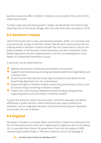examine issues that affect children in Wales but are not within the control of the Welsh Government.

To help create jobs and boost growth in Wales, we will abolish the economically distorting tolls on the Severn Bridge, after the costs have been recouped in 2018.

### **9.5 Northern Ireland**

Liberal Democrats wish to see a permanently peaceful, stable, non-sectarian and truly democratic society in Northern Ireland. We will work constructively with the political parties in Northern Ireland and with the Irish Government to secure the political stability of the Northern Ireland Assembly and other institutions of the Belfast Agreement and the implementation of all the recommendations of the Report on Disbanding Paramilitary Groups.

In particular we are determined to:

- Maintain the Common Travel Area and freedom of movement.
- Support local businesses by ensuring participation within the Single Market and Customs Union.
- Ensure that the international human rights protections hard-wired into the Good Friday Agreement are not compromised.
- Protect the rights of Northern Ireland citizens living and working in the EU, and EU citizens living and working in Northern Ireland.
- Protect the current financial settlement and the funding of programmes supporting peace and reconciliation in Northern Ireland.

To grow the economy, tackle social exclusion, overcome inequality and deliver efficiencies in public services, Liberal Democrats will support policies and initiatives, such as integrated education, that promote sharing over separation and counter the cost of division.

# **9.6 England**

Devolution of power to Scotland, Wales and Northern Ireland has implications for the UK Parliament and its dual role in legislating for England as well as the federal UK. It is possible that a future UK government could use the support of MPs representing Scotland, Wales or Northern Ireland to secure the passage of

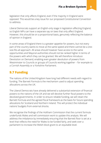legislation that only affects England, even if the majority in England were opposed. This would be a key issue for our proposed Constitutional Convention to address.

Liberal Democrats support an English-only stage in legislation affecting England, so English MPs can have a separate say on laws that only affect England. However, this should be on a proportional basis, genuinely reflecting the balance of opinion in England.

In some areas of England there is a greater appetite for powers, but not every part of the country wants to move at the same speed and there cannot be a onesize-fits-all approach. All areas should however have access to the same opportunities and Mayoral authorities should not be ranked higher in terms of the powers with which they can be granted. We will therefore introduce Devolution on Demand, enabling even greater devolution of powers from Westminster to Councils or groups of Councils working together – for example to a Cornish Assembly or a Yorkshire Parliament.

#### **9.7 Funding**

The nations of the United Kingdom have long had different needs with regard to funding. The Barnett Formula is the mechanism used to adjust spending allocations across the UK.

The Liberal Democrats have already delivered a substantial extension of financial powers to the nations of the UK and we will devolve further fiscal powers to the devolved governments. In order to ensure reliable funding, we will retain the Barnett Formula and the agreed fiscal framework as the basis for future spending allocations for Scotland and Northern Ireland. This will protect the individual nations' budgets from external shocks.

We recognise the findings of the Holtham Commission that the current formula underfunds Wales and will commission work to update this analysis. We will address the imbalance by immediately ensuring that the Barnett floor is set at a level that reflects the need for Wales to be funded fairly, and seek over a parliament to increase the Welsh block grant to an equitable level.